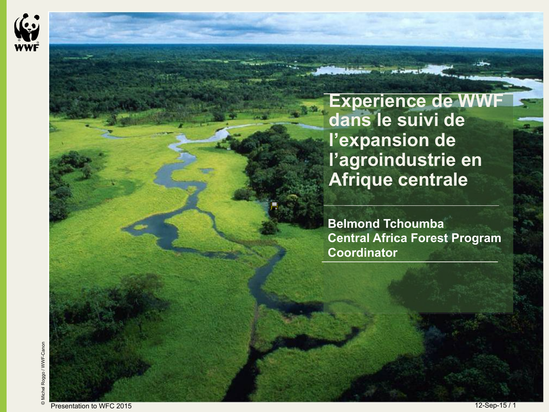

**Experience de WW dans le suivi de l'expansion de l'agroindustrie en Afrique centrale**

**Belmond Tchoumba Central Africa Forest Program Coordinator**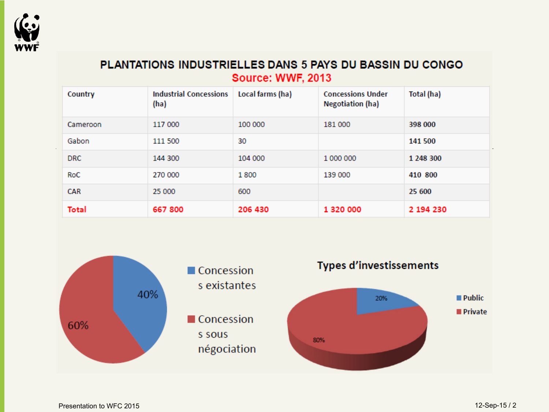

### PLANTATIONS INDUSTRIELLES DANS 5 PAYS DU BASSIN DU CONGO Source: WWF, 2013

| Country    | <b>Industrial Concessions</b><br>(ha) | Local farms (ha) | <b>Concessions Under</b><br><b>Negotiation (ha)</b> | Total (ha) |
|------------|---------------------------------------|------------------|-----------------------------------------------------|------------|
| Cameroon   | 117 000                               | 100 000          | 181 000                                             | 398 000    |
| Gabon      | 111 500                               | 30               |                                                     | 141 500    |
| <b>DRC</b> | 144 300                               | 104 000          | 1 000 000                                           | 1 248 300  |
| RoC        | 270 000                               | 1800             | 139 000                                             | 410 800    |
| <b>CAR</b> | 25 000                                | 600              |                                                     | 25 600     |
| Total      | 667 800                               | 206 430          | 1 320 000                                           | 2 194 230  |

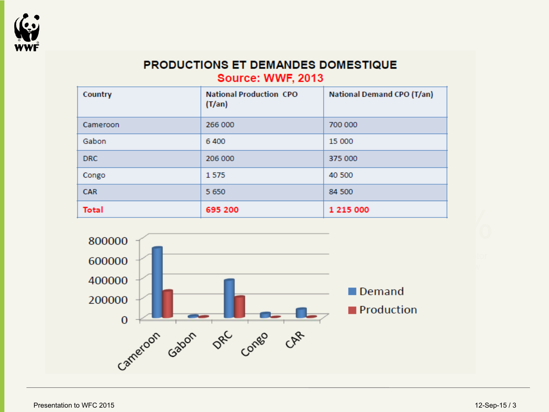

### PRODUCTIONS ET DEMANDES DOMESTIQUE **Source: WWF, 2013**

| Country    | <b>National Production CPO</b><br>$(T/\text{an})$ | <b>National Demand CPO (T/an)</b> |
|------------|---------------------------------------------------|-----------------------------------|
| Cameroon   | 266 000                                           | 700 000                           |
| Gabon      | 6400                                              | 15 000                            |
| <b>DRC</b> | 206 000                                           | 375 000                           |
| Congo      | 1575                                              | 40 500                            |
| <b>CAR</b> | 5 6 5 0                                           | 84 500                            |
| Total      | 695 200                                           | 1 215 000                         |

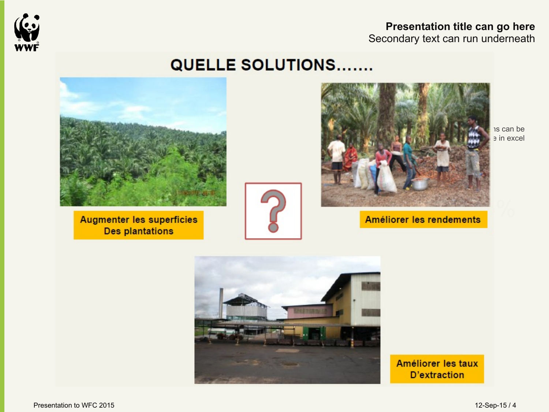

**Presentation title can go here**  Secondary text can run underneath

## **QUELLE SOLUTIONS.......**



**Augmenter les superficies Des plantations** 





Améliorer les rendements

=

is can be e in excel



Améliorer les taux **D'extraction**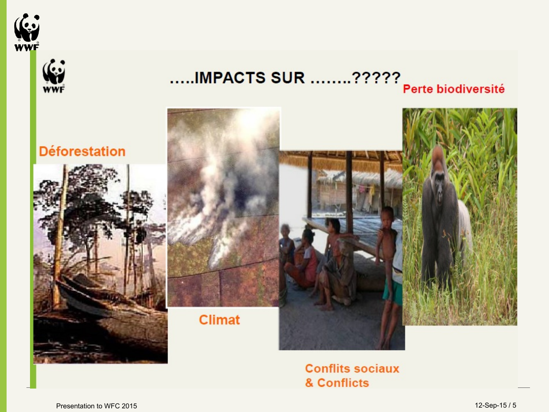



## .....IMPACTS SUR ........????? Perte biodiversité



**Conflits sociaux** & Conflicts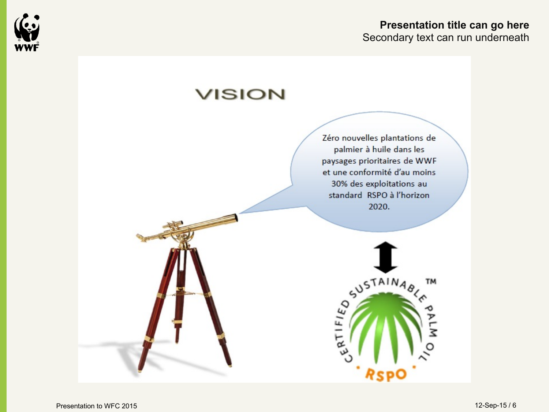

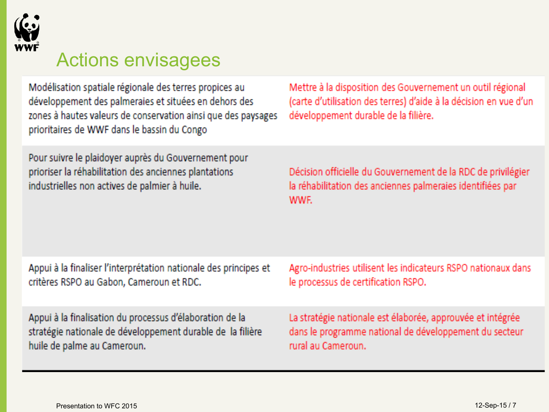

# Actions envisagees

Modélisation spatiale régionale des terres propices au développement des palmeraies et situées en dehors des zones à hautes valeurs de conservation ainsi que des paysages prioritaires de WWF dans le bassin du Congo

Pour suivre le plaidoyer auprès du Gouvernement pour prioriser la réhabilitation des anciennes plantations industrielles non actives de palmier à huile.

Mettre à la disposition des Gouvernement un outil régional (carte d'utilisation des terres) d'aide à la décision en vue d'un développement durable de la filière.

Décision officielle du Gouvernement de la RDC de privilégier la réhabilitation des anciennes palmeraies identifiées par WWF.

| Appui à la finaliser l'interprétation nationale des principes et | Agro-industries utilisent les indicateurs RSPO nationaux dans |
|------------------------------------------------------------------|---------------------------------------------------------------|
| critères RSPO au Gabon, Cameroun et RDC.                         | le processus de certification RSPO.                           |
| Appui à la finalisation du processus d'élaboration de la         | La stratégie nationale est élaborée, approuvée et intégrée    |
| stratégie nationale de développement durable de la filière       | dans le programme national de développement du secteur        |
| huile de palme au Cameroun.                                      | rural au Cameroun.                                            |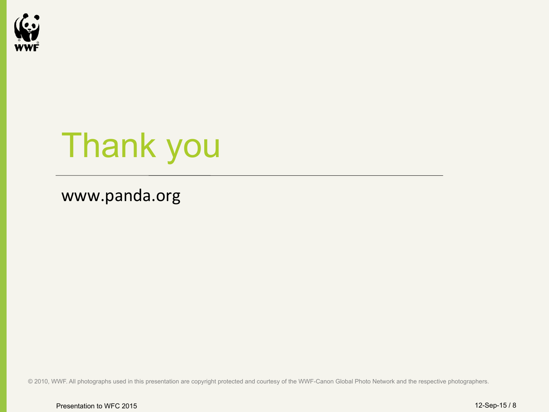

# Thank you

## www.panda.org

© 2010, WWF. All photographs used in this presentation are copyright protected and courtesy of the WWF-Canon Global Photo Network and the respective photographers.